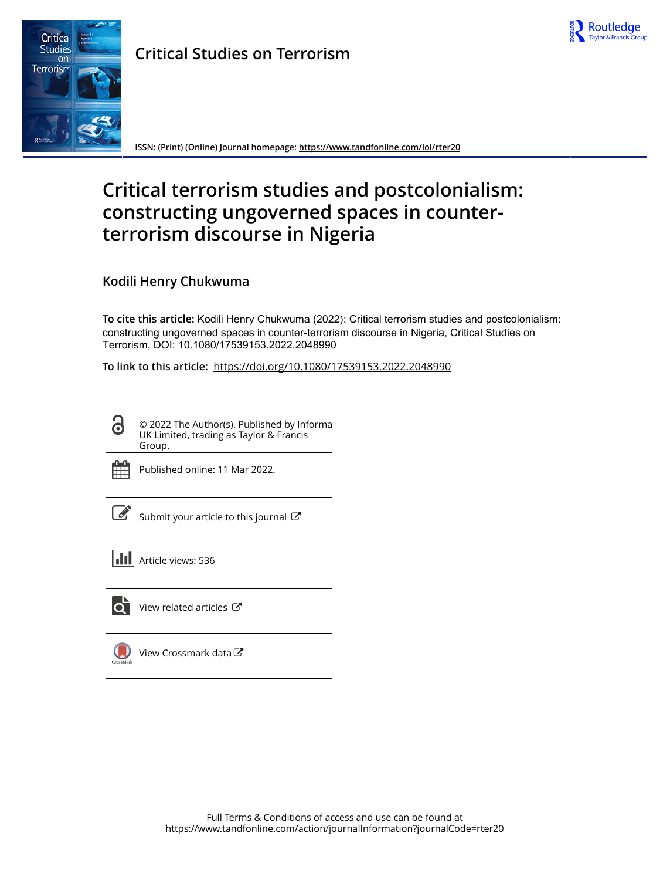



**Critical Studies on Terrorism**

**ISSN: (Print) (Online) Journal homepage:<https://www.tandfonline.com/loi/rter20>**

# **Critical terrorism studies and postcolonialism: constructing ungoverned spaces in counterterrorism discourse in Nigeria**

## **Kodili Henry Chukwuma**

**To cite this article:** Kodili Henry Chukwuma (2022): Critical terrorism studies and postcolonialism: constructing ungoverned spaces in counter-terrorism discourse in Nigeria, Critical Studies on Terrorism, DOI: [10.1080/17539153.2022.2048990](https://www.tandfonline.com/action/showCitFormats?doi=10.1080/17539153.2022.2048990)

**To link to this article:** <https://doi.org/10.1080/17539153.2022.2048990>

© 2022 The Author(s). Published by Informa UK Limited, trading as Taylor & Francis Group.



Published online: 11 Mar 2022.

[Submit your article to this journal](https://www.tandfonline.com/action/authorSubmission?journalCode=rter20&show=instructions)  $\mathbb{Z}$ 

**III** Article views: 536



[View related articles](https://www.tandfonline.com/doi/mlt/10.1080/17539153.2022.2048990)  $\mathbb{Z}$ 

[View Crossmark data](http://crossmark.crossref.org/dialog/?doi=10.1080/17539153.2022.2048990&domain=pdf&date_stamp=2022-03-11)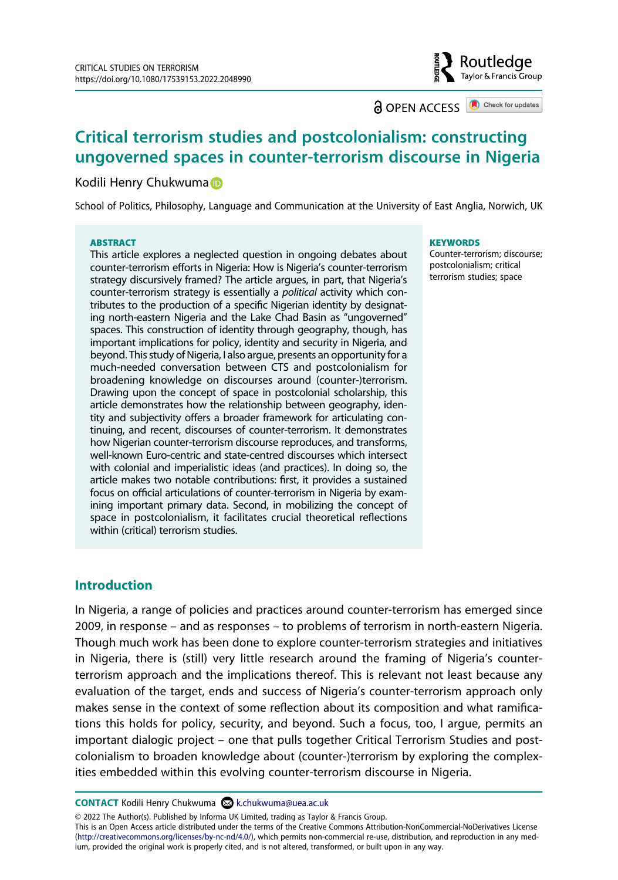**a** OPEN ACCESS **a** Check for updates

Routledae Taylor & Francis Group

# **Critical terrorism studies and postcolonialism: constructing ungoverned spaces in counter-terrorism discourse in Nigeria**

#### Kodili Henry Chukwuma

School of Politics, Philosophy, Language and Communication at the University of East Anglia, Norwich, UK

#### **ABSTRACT**

This article explores a neglected question in ongoing debates about counter-terrorism efforts in Nigeria: How is Nigeria's counter-terrorism strategy discursively framed? The article argues, in part, that Nigeria's counter-terrorism strategy is essentially a *political* activity which contributes to the production of a specific Nigerian identity by designating north-eastern Nigeria and the Lake Chad Basin as "ungoverned" spaces. This construction of identity through geography, though, has important implications for policy, identity and security in Nigeria, and beyond. This study of Nigeria, I also argue, presents an opportunity for a much-needed conversation between CTS and postcolonialism for broadening knowledge on discourses around (counter-)terrorism. Drawing upon the concept of space in postcolonial scholarship, this article demonstrates how the relationship between geography, identity and subjectivity offers a broader framework for articulating continuing, and recent, discourses of counter-terrorism. It demonstrates how Nigerian counter-terrorism discourse reproduces, and transforms, well-known Euro-centric and state-centred discourses which intersect with colonial and imperialistic ideas (and practices). In doing so, the article makes two notable contributions: first, it provides a sustained focus on official articulations of counter-terrorism in Nigeria by examining important primary data. Second, in mobilizing the concept of space in postcolonialism, it facilitates crucial theoretical reflections within (critical) terrorism studies.

#### **KEYWORDS**

Counter-terrorism; discourse; postcolonialism; critical terrorism studies; space

#### **Introduction**

In Nigeria, a range of policies and practices around counter-terrorism has emerged since 2009, in response – and as responses – to problems of terrorism in north-eastern Nigeria. Though much work has been done to explore counter-terrorism strategies and initiatives in Nigeria, there is (still) very little research around the framing of Nigeria's counterterrorism approach and the implications thereof. This is relevant not least because any evaluation of the target, ends and success of Nigeria's counter-terrorism approach only makes sense in the context of some reflection about its composition and what ramifications this holds for policy, security, and beyond. Such a focus, too, I argue, permits an important dialogic project – one that pulls together Critical Terrorism Studies and postcolonialism to broaden knowledge about (counter-)terrorism by exploring the complexities embedded within this evolving counter-terrorism discourse in Nigeria.

**CONTACT** Kodili Henry Chukwuma & k.chukwuma@uea.ac.uk

© 2022 The Author(s). Published by Informa UK Limited, trading as Taylor & Francis Group.

This is an Open Access article distributed under the terms of the Creative Commons Attribution-NonCommercial-NoDerivatives License (http://creativecommons.org/licenses/by-nc-nd/4.0/), which permits non-commercial re-use, distribution, and reproduction in any medium, provided the original work is properly cited, and is not altered, transformed, or built upon in any way.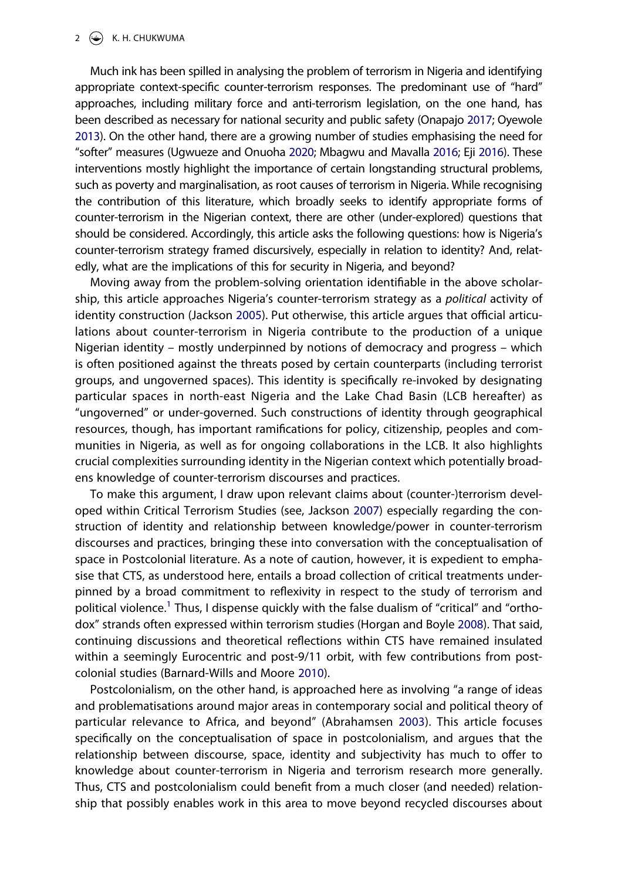#### $2 \left( \bigodot \right)$  K. H. CHUKWUMA

<span id="page-2-6"></span><span id="page-2-2"></span>Much ink has been spilled in analysing the problem of terrorism in Nigeria and identifying appropriate context-specific counter-terrorism responses. The predominant use of "hard" approaches, including military force and anti-terrorism legislation, on the one hand, has been described as necessary for national security and public safety (Onapajo [2017;](#page-17-0) Oyewole [2013\)](#page-18-0). On the other hand, there are a growing number of studies emphasising the need for "softer" measures (Ugwueze and Onuoha [2020;](#page-18-1) Mbagwu and Mavalla [2016;](#page-17-1) Eji [2016](#page-16-0)). These interventions mostly highlight the importance of certain longstanding structural problems, such as poverty and marginalisation, as root causes of terrorism in Nigeria. While recognising the contribution of this literature, which broadly seeks to identify appropriate forms of counter-terrorism in the Nigerian context, there are other (under-explored) questions that should be considered. Accordingly, this article asks the following questions: how is Nigeria's counter-terrorism strategy framed discursively, especially in relation to identity? And, relatedly, what are the implications of this for security in Nigeria, and beyond?

<span id="page-2-4"></span>Moving away from the problem-solving orientation identifiable in the above scholarship, this article approaches Nigeria's counter-terrorism strategy as a *political* activity of identity construction (Jackson [2005](#page-17-2)). Put otherwise, this article argues that official articulations about counter-terrorism in Nigeria contribute to the production of a unique Nigerian identity – mostly underpinned by notions of democracy and progress – which is often positioned against the threats posed by certain counterparts (including terrorist groups, and ungoverned spaces). This identity is specifically re-invoked by designating particular spaces in north-east Nigeria and the Lake Chad Basin (LCB hereafter) as "ungoverned" or under-governed. Such constructions of identity through geographical resources, though, has important ramifications for policy, citizenship, peoples and communities in Nigeria, as well as for ongoing collaborations in the LCB. It also highlights crucial complexities surrounding identity in the Nigerian context which potentially broadens knowledge of counter-terrorism discourses and practices.

<span id="page-2-5"></span>To make this argument, I draw upon relevant claims about (counter-)terrorism developed within Critical Terrorism Studies (see, Jackson [2007\)](#page-17-3) especially regarding the construction of identity and relationship between knowledge/power in counter-terrorism discourses and practices, bringing these into conversation with the conceptualisation of space in Postcolonial literature. As a note of caution, however, it is expedient to emphasise that CTS, as understood here, entails a broad collection of critical treatments underpinned by a broad commitment to reflexivity in respect to the study of terrorism and political violence.<sup>1</sup> Thus, I dispense quickly with the false dualism of "critical" and "orthodox" strands often expressed within terrorism studies (Horgan and Boyle [2008](#page-16-1)). That said, continuing discussions and theoretical reflections within CTS have remained insulated within a seemingly Eurocentric and post-9/11 orbit, with few contributions from postcolonial studies (Barnard-Wills and Moore [2010\)](#page-15-0).

<span id="page-2-3"></span><span id="page-2-1"></span><span id="page-2-0"></span>Postcolonialism, on the other hand, is approached here as involving "a range of ideas and problematisations around major areas in contemporary social and political theory of particular relevance to Africa, and beyond" (Abrahamsen [2003](#page-15-1)). This article focuses specifically on the conceptualisation of space in postcolonialism, and argues that the relationship between discourse, space, identity and subjectivity has much to offer to knowledge about counter-terrorism in Nigeria and terrorism research more generally. Thus, CTS and postcolonialism could benefit from a much closer (and needed) relationship that possibly enables work in this area to move beyond recycled discourses about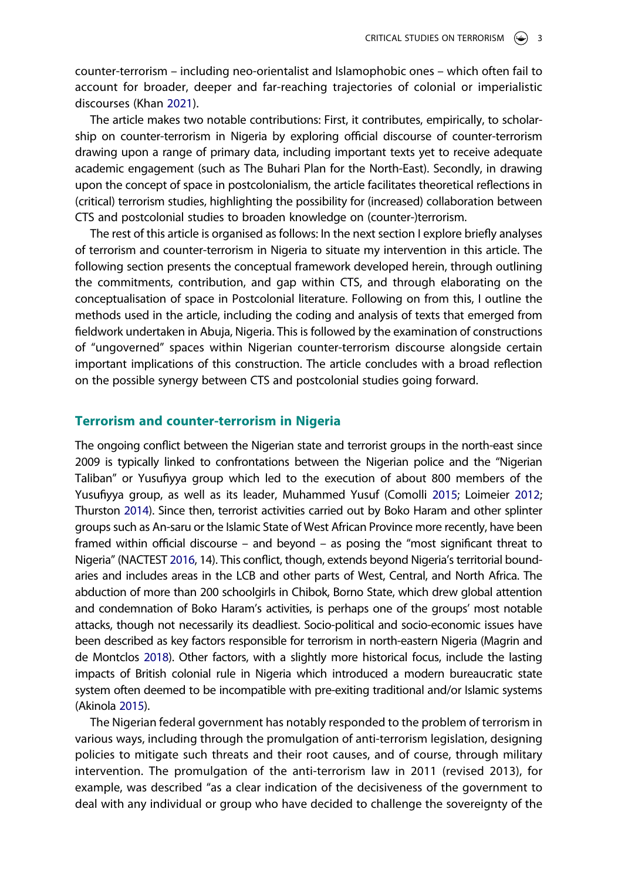counter-terrorism – including neo-orientalist and Islamophobic ones – which often fail to account for broader, deeper and far-reaching trajectories of colonial or imperialistic discourses (Khan [2021\)](#page-17-4).

<span id="page-3-2"></span>The article makes two notable contributions: First, it contributes, empirically, to scholarship on counter-terrorism in Nigeria by exploring official discourse of counter-terrorism drawing upon a range of primary data, including important texts yet to receive adequate academic engagement (such as The Buhari Plan for the North-East). Secondly, in drawing upon the concept of space in postcolonialism, the article facilitates theoretical reflections in (critical) terrorism studies, highlighting the possibility for (increased) collaboration between CTS and postcolonial studies to broaden knowledge on (counter-)terrorism.

The rest of this article is organised as follows: In the next section I explore briefly analyses of terrorism and counter-terrorism in Nigeria to situate my intervention in this article. The following section presents the conceptual framework developed herein, through outlining the commitments, contribution, and gap within CTS, and through elaborating on the conceptualisation of space in Postcolonial literature. Following on from this, I outline the methods used in the article, including the coding and analysis of texts that emerged from fieldwork undertaken in Abuja, Nigeria. This is followed by the examination of constructions of "ungoverned" spaces within Nigerian counter-terrorism discourse alongside certain important implications of this construction. The article concludes with a broad reflection on the possible synergy between CTS and postcolonial studies going forward.

#### **Terrorism and counter-terrorism in Nigeria**

<span id="page-3-5"></span><span id="page-3-4"></span><span id="page-3-1"></span>The ongoing conflict between the Nigerian state and terrorist groups in the north-east since 2009 is typically linked to confrontations between the Nigerian police and the "Nigerian Taliban" or Yusufiyya group which led to the execution of about 800 members of the Yusufiyya group, as well as its leader, Muhammed Yusuf (Comolli [2015](#page-16-2); Loimeier [2012](#page-17-5); Thurston [2014\)](#page-18-2). Since then, terrorist activities carried out by Boko Haram and other splinter groups such as An-saru or the Islamic State of West African Province more recently, have been framed within official discourse – and beyond – as posing the "most significant threat to Nigeria" (NACTEST [2016](#page-17-6), 14). This conflict, though, extends beyond Nigeria's territorial boundaries and includes areas in the LCB and other parts of West, Central, and North Africa. The abduction of more than 200 schoolgirls in Chibok, Borno State, which drew global attention and condemnation of Boko Haram's activities, is perhaps one of the groups' most notable attacks, though not necessarily its deadliest. Socio-political and socio-economic issues have been described as key factors responsible for terrorism in north-eastern Nigeria (Magrin and de Montclos [2018\)](#page-17-7). Other factors, with a slightly more historical focus, include the lasting impacts of British colonial rule in Nigeria which introduced a modern bureaucratic state system often deemed to be incompatible with pre-exiting traditional and/or Islamic systems (Akinola [2015](#page-15-2)).

<span id="page-3-3"></span><span id="page-3-0"></span>The Nigerian federal government has notably responded to the problem of terrorism in various ways, including through the promulgation of anti-terrorism legislation, designing policies to mitigate such threats and their root causes, and of course, through military intervention. The promulgation of the anti-terrorism law in 2011 (revised 2013), for example, was described "as a clear indication of the decisiveness of the government to deal with any individual or group who have decided to challenge the sovereignty of the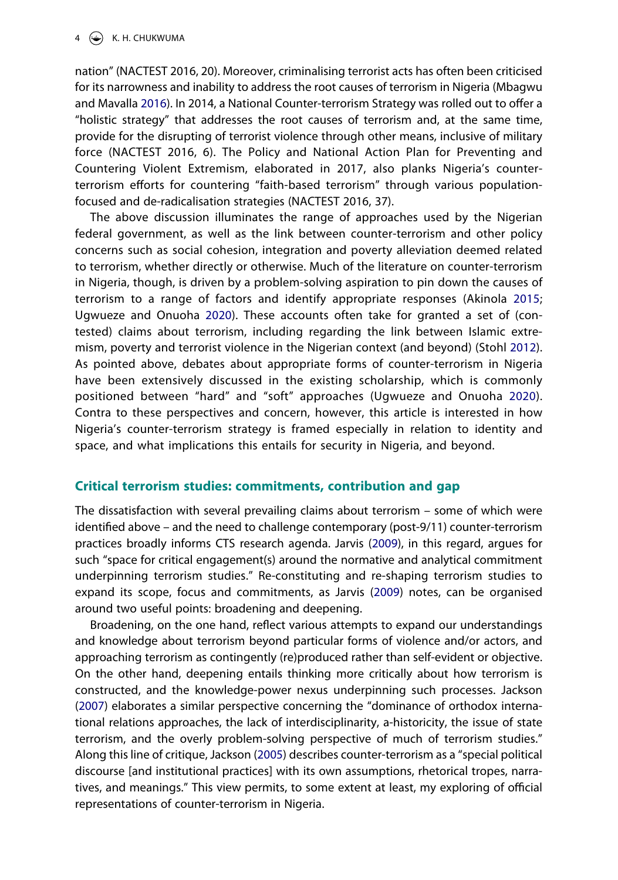nation" (NACTEST 2016, 20). Moreover, criminalising terrorist acts has often been criticised for its narrowness and inability to address the root causes of terrorism in Nigeria (Mbagwu and Mavalla [2016\)](#page-17-1). In 2014, a National Counter-terrorism Strategy was rolled out to offer a "holistic strategy" that addresses the root causes of terrorism and, at the same time, provide for the disrupting of terrorist violence through other means, inclusive of military force (NACTEST 2016, 6). The Policy and National Action Plan for Preventing and Countering Violent Extremism, elaborated in 2017, also planks Nigeria's counterterrorism efforts for countering "faith-based terrorism" through various populationfocused and de-radicalisation strategies (NACTEST 2016, 37).

<span id="page-4-1"></span>The above discussion illuminates the range of approaches used by the Nigerian federal government, as well as the link between counter-terrorism and other policy concerns such as social cohesion, integration and poverty alleviation deemed related to terrorism, whether directly or otherwise. Much of the literature on counter-terrorism in Nigeria, though, is driven by a problem-solving aspiration to pin down the causes of terrorism to a range of factors and identify appropriate responses (Akinola [2015](#page-15-2); Ugwueze and Onuoha [2020](#page-18-1)). These accounts often take for granted a set of (contested) claims about terrorism, including regarding the link between Islamic extremism, poverty and terrorist violence in the Nigerian context (and beyond) (Stohl [2012](#page-18-3)). As pointed above, debates about appropriate forms of counter-terrorism in Nigeria have been extensively discussed in the existing scholarship, which is commonly positioned between "hard" and "soft" approaches (Ugwueze and Onuoha [2020](#page-18-1)). Contra to these perspectives and concern, however, this article is interested in how Nigeria's counter-terrorism strategy is framed especially in relation to identity and space, and what implications this entails for security in Nigeria, and beyond.

### **Critical terrorism studies: commitments, contribution and gap**

The dissatisfaction with several prevailing claims about terrorism – some of which were identified above – and the need to challenge contemporary (post-9/11) counter-terrorism practices broadly informs CTS research agenda. Jarvis [\(2009\)](#page-17-8), in this regard, argues for such "space for critical engagement(s) around the normative and analytical commitment underpinning terrorism studies." Re-constituting and re-shaping terrorism studies to expand its scope, focus and commitments, as Jarvis [\(2009](#page-17-8)) notes, can be organised around two useful points: broadening and deepening.

<span id="page-4-0"></span>Broadening, on the one hand, reflect various attempts to expand our understandings and knowledge about terrorism beyond particular forms of violence and/or actors, and approaching terrorism as contingently (re)produced rather than self-evident or objective. On the other hand, deepening entails thinking more critically about how terrorism is constructed, and the knowledge-power nexus underpinning such processes. Jackson ([2007](#page-17-3)) elaborates a similar perspective concerning the "dominance of orthodox international relations approaches, the lack of interdisciplinarity, a-historicity, the issue of state terrorism, and the overly problem-solving perspective of much of terrorism studies." Along this line of critique, Jackson [\(2005\)](#page-17-2) describes counter-terrorism as a "special political discourse [and institutional practices] with its own assumptions, rhetorical tropes, narratives, and meanings." This view permits, to some extent at least, my exploring of official representations of counter-terrorism in Nigeria.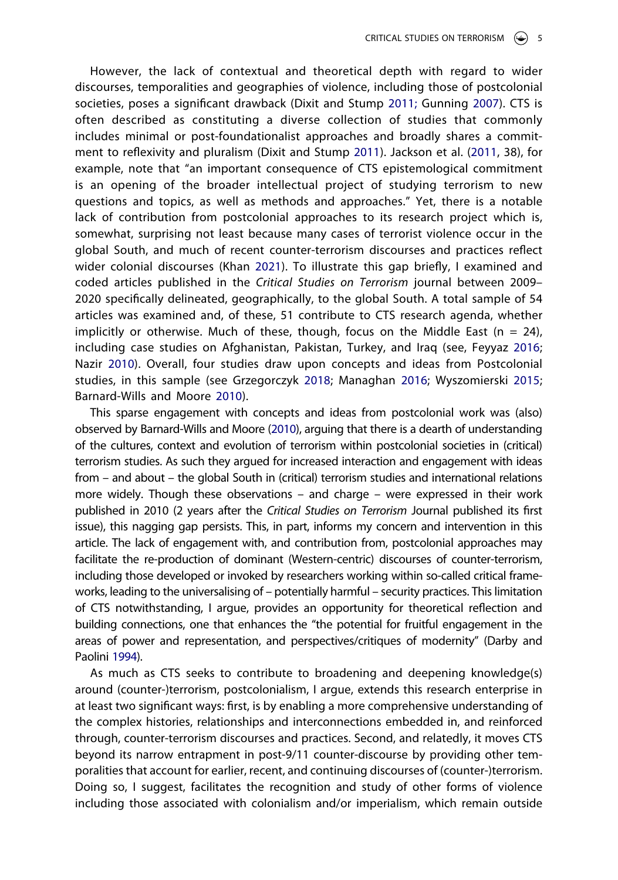<span id="page-5-4"></span><span id="page-5-1"></span>However, the lack of contextual and theoretical depth with regard to wider discourses, temporalities and geographies of violence, including those of postcolonial societies, poses a significant drawback (Dixit and Stump [2011;](#page-16-3) Gunning [2007\)](#page-16-4). CTS is often described as constituting a diverse collection of studies that commonly includes minimal or post-foundationalist approaches and broadly shares a commitment to reflexivity and pluralism (Dixit and Stump [2011\)](#page-16-3). Jackson et al. ([2011](#page-17-9), 38), for example, note that "an important consequence of CTS epistemological commitment is an opening of the broader intellectual project of studying terrorism to new questions and topics, as well as methods and approaches." Yet, there is a notable lack of contribution from postcolonial approaches to its research project which is, somewhat, surprising not least because many cases of terrorist violence occur in the global South, and much of recent counter-terrorism discourses and practices reflect wider colonial discourses (Khan [2021\)](#page-17-4). To illustrate this gap briefly, I examined and coded articles published in the *Critical Studies on Terrorism* journal between 2009– 2020 specifically delineated, geographically, to the global South. A total sample of 54 articles was examined and, of these, 51 contribute to CTS research agenda, whether implicitly or otherwise. Much of these, though, focus on the Middle East ( $n = 24$ ), including case studies on Afghanistan, Pakistan, Turkey, and Iraq (see, Feyyaz [2016](#page-16-5); Nazir [2010](#page-17-10)). Overall, four studies draw upon concepts and ideas from Postcolonial studies, in this sample (see Grzegorczyk [2018;](#page-16-6) Managhan [2016](#page-17-11); Wyszomierski [2015](#page-18-4); Barnard-Wills and Moore [2010](#page-15-0)).

<span id="page-5-5"></span><span id="page-5-3"></span><span id="page-5-2"></span>This sparse engagement with concepts and ideas from postcolonial work was (also) observed by Barnard-Wills and Moore ([2010](#page-15-0)), arguing that there is a dearth of understanding of the cultures, context and evolution of terrorism within postcolonial societies in (critical) terrorism studies. As such they argued for increased interaction and engagement with ideas from – and about – the global South in (critical) terrorism studies and international relations more widely. Though these observations – and charge – were expressed in their work published in 2010 (2 years after the *Critical Studies on Terrorism* Journal published its first issue), this nagging gap persists. This, in part, informs my concern and intervention in this article. The lack of engagement with, and contribution from, postcolonial approaches may facilitate the re-production of dominant (Western-centric) discourses of counter-terrorism, including those developed or invoked by researchers working within so-called critical frameworks, leading to the universalising of – potentially harmful – security practices. This limitation of CTS notwithstanding, I argue, provides an opportunity for theoretical reflection and building connections, one that enhances the "the potential for fruitful engagement in the areas of power and representation, and perspectives/critiques of modernity" (Darby and Paolini [1994](#page-16-7)).

<span id="page-5-0"></span>As much as CTS seeks to contribute to broadening and deepening knowledge(s) around (counter-)terrorism, postcolonialism, I argue, extends this research enterprise in at least two significant ways: first, is by enabling a more comprehensive understanding of the complex histories, relationships and interconnections embedded in, and reinforced through, counter-terrorism discourses and practices. Second, and relatedly, it moves CTS beyond its narrow entrapment in post-9/11 counter-discourse by providing other temporalities that account for earlier, recent, and continuing discourses of (counter-)terrorism. Doing so, I suggest, facilitates the recognition and study of other forms of violence including those associated with colonialism and/or imperialism, which remain outside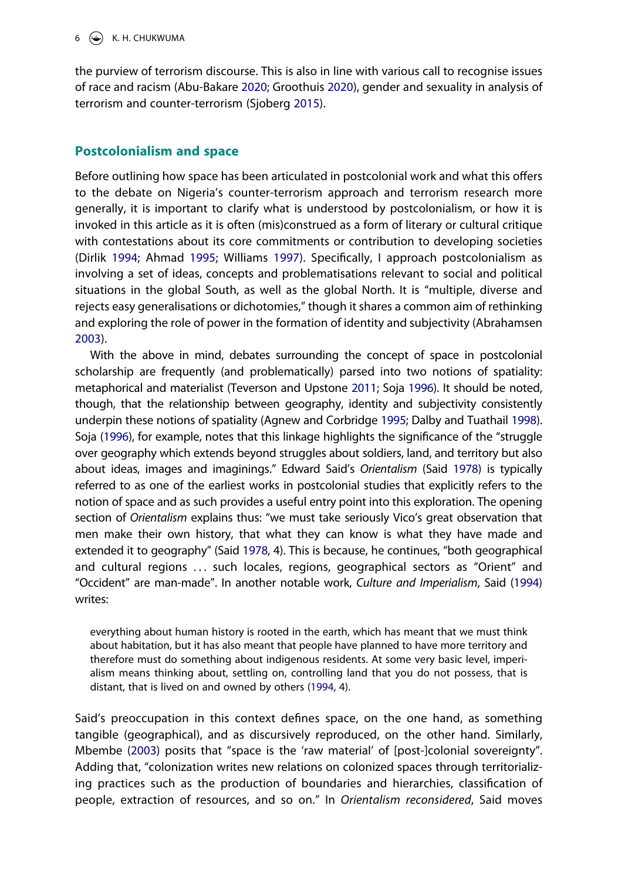<span id="page-6-7"></span><span id="page-6-0"></span>the purview of terrorism discourse. This is also in line with various call to recognise issues of race and racism (Abu-Bakare [2020](#page-15-3); Groothuis [2020](#page-16-8)), gender and sexuality in analysis of terrorism and counter-terrorism (Sjoberg [2015](#page-18-5)).

## **Postcolonialism and space**

<span id="page-6-2"></span>Before outlining how space has been articulated in postcolonial work and what this offers to the debate on Nigeria's counter-terrorism approach and terrorism research more generally, it is important to clarify what is understood by postcolonialism, or how it is invoked in this article as it is often (mis)construed as a form of literary or cultural critique with contestations about its core commitments or contribution to developing societies (Dirlik [1994;](#page-16-9) Ahmad [1995](#page-15-4); Williams [1997](#page-18-6)). Specifically, I approach postcolonialism as involving a set of ideas, concepts and problematisations relevant to social and political situations in the global South, as well as the global North. It is "multiple, diverse and rejects easy generalisations or dichotomies," though it shares a common aim of rethinking and exploring the role of power in the formation of identity and subjectivity (Abrahamsen [2003\)](#page-15-1).

<span id="page-6-9"></span><span id="page-6-8"></span><span id="page-6-1"></span>With the above in mind, debates surrounding the concept of space in postcolonial scholarship are frequently (and problematically) parsed into two notions of spatiality: metaphorical and materialist (Teverson and Upstone [2011;](#page-18-7) Soja [1996](#page-18-8)). It should be noted, though, that the relationship between geography, identity and subjectivity consistently underpin these notions of spatiality (Agnew and Corbridge [1995](#page-15-5); Dalby and Tuathail [1998](#page-16-10)). Soja ([1996\)](#page-18-8), for example, notes that this linkage highlights the significance of the "struggle over geography which extends beyond struggles about soldiers, land, and territory but also about ideas, images and imaginings." Edward Said's *Orientalism* (Said [1978\)](#page-18-9) is typically referred to as one of the earliest works in postcolonial studies that explicitly refers to the notion of space and as such provides a useful entry point into this exploration. The opening section of *Orientalism* explains thus: "we must take seriously Vico's great observation that men make their own history, that what they can know is what they have made and extended it to geography" (Said [1978,](#page-18-9) 4). This is because, he continues, "both geographical and cultural regions ... such locales, regions, geographical sectors as "Orient" and "Occident" are man-made". In another notable work, *Culture and Imperialism*, Said [\(1994](#page-18-10)) writes:

<span id="page-6-5"></span><span id="page-6-4"></span>everything about human history is rooted in the earth, which has meant that we must think about habitation, but it has also meant that people have planned to have more territory and therefore must do something about indigenous residents. At some very basic level, imperialism means thinking about, settling on, controlling land that you do not possess, that is distant, that is lived on and owned by others [\(1994,](#page-18-11) 4).

<span id="page-6-6"></span><span id="page-6-3"></span>Said's preoccupation in this context defines space, on the one hand, as something tangible (geographical), and as discursively reproduced, on the other hand. Similarly, Mbembe [\(2003](#page-17-12)) posits that "space is the 'raw material' of [post-]colonial sovereignty". Adding that, "colonization writes new relations on colonized spaces through territorializing practices such as the production of boundaries and hierarchies, classification of people, extraction of resources, and so on." In *Orientalism reconsidered*, Said moves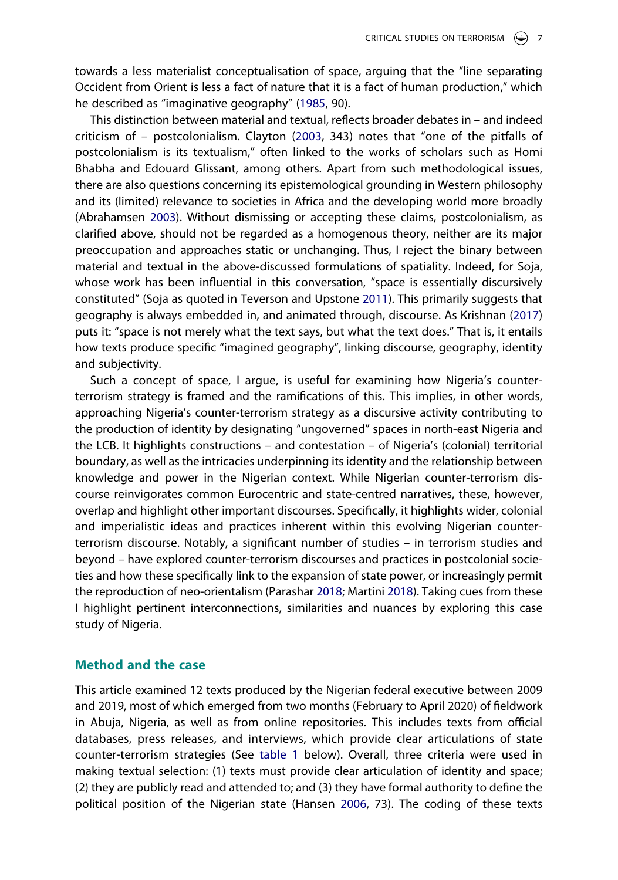towards a less materialist conceptualisation of space, arguing that the "line separating Occident from Orient is less a fact of nature that it is a fact of human production," which he described as "imaginative geography" [\(1985,](#page-18-12) 90).

<span id="page-7-4"></span><span id="page-7-0"></span>This distinction between material and textual, reflects broader debates in – and indeed criticism of – postcolonialism. Clayton ([2003,](#page-16-11) 343) notes that "one of the pitfalls of postcolonialism is its textualism," often linked to the works of scholars such as Homi Bhabha and Edouard Glissant, among others. Apart from such methodological issues, there are also questions concerning its epistemological grounding in Western philosophy and its (limited) relevance to societies in Africa and the developing world more broadly (Abrahamsen [2003](#page-15-1)). Without dismissing or accepting these claims, postcolonialism, as clarified above, should not be regarded as a homogenous theory, neither are its major preoccupation and approaches static or unchanging. Thus, I reject the binary between material and textual in the above-discussed formulations of spatiality. Indeed, for Soja, whose work has been influential in this conversation, "space is essentially discursively constituted" (Soja as quoted in Teverson and Upstone [2011](#page-18-7)). This primarily suggests that geography is always embedded in, and animated through, discourse. As Krishnan ([2017](#page-17-13)) puts it: "space is not merely what the text says, but what the text does." That is, it entails how texts produce specific "imagined geography", linking discourse, geography, identity and subjectivity.

<span id="page-7-2"></span>Such a concept of space, I argue, is useful for examining how Nigeria's counterterrorism strategy is framed and the ramifications of this. This implies, in other words, approaching Nigeria's counter-terrorism strategy as a discursive activity contributing to the production of identity by designating "ungoverned" spaces in north-east Nigeria and the LCB. It highlights constructions – and contestation – of Nigeria's (colonial) territorial boundary, as well as the intricacies underpinning its identity and the relationship between knowledge and power in the Nigerian context. While Nigerian counter-terrorism discourse reinvigorates common Eurocentric and state-centred narratives, these, however, overlap and highlight other important discourses. Specifically, it highlights wider, colonial and imperialistic ideas and practices inherent within this evolving Nigerian counterterrorism discourse. Notably, a significant number of studies – in terrorism studies and beyond – have explored counter-terrorism discourses and practices in postcolonial societies and how these specifically link to the expansion of state power, or increasingly permit the reproduction of neo-orientalism (Parashar [2018](#page-18-13); Martini [2018\)](#page-17-14). Taking cues from these I highlight pertinent interconnections, similarities and nuances by exploring this case study of Nigeria.

## <span id="page-7-3"></span>**Method and the case**

<span id="page-7-1"></span>This article examined 12 texts produced by the Nigerian federal executive between 2009 and 2019, most of which emerged from two months (February to April 2020) of fieldwork in Abuja, Nigeria, as well as from online repositories. This includes texts from official databases, press releases, and interviews, which provide clear articulations of state counter-terrorism strategies (See [table 1](#page-8-0) below). Overall, three criteria were used in making textual selection: (1) texts must provide clear articulation of identity and space; (2) they are publicly read and attended to; and (3) they have formal authority to define the political position of the Nigerian state (Hansen [2006,](#page-16-12) 73). The coding of these texts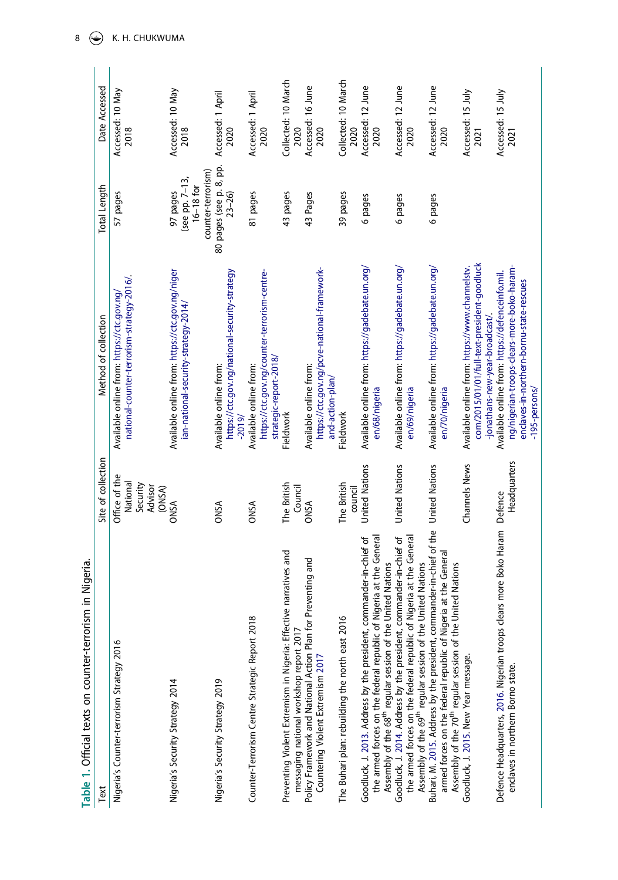<span id="page-8-6"></span><span id="page-8-5"></span><span id="page-8-4"></span><span id="page-8-3"></span><span id="page-8-2"></span><span id="page-8-1"></span><span id="page-8-0"></span>

| Table 1. Official texts on counter-terrorism in Nigeria.                                                                                                                                                                   |                                                            |                                                                                                                                                            |                                                                 |                             |
|----------------------------------------------------------------------------------------------------------------------------------------------------------------------------------------------------------------------------|------------------------------------------------------------|------------------------------------------------------------------------------------------------------------------------------------------------------------|-----------------------------------------------------------------|-----------------------------|
| Text                                                                                                                                                                                                                       | Site of collection                                         | Method of collection                                                                                                                                       | Total Length                                                    | Date Accessed               |
| Nigeria's Counter-terrorism Strategy 2016                                                                                                                                                                                  | Office of the<br>National<br>Security<br>Advisor<br>(ONSA) | national-counter-terrorism-strategy-2016/.<br>Available online from: https://ctc.gov.ng/                                                                   | 57 pages                                                        | Accessed: 10 May<br>2018    |
| Nigeria's Security Strategy 2014                                                                                                                                                                                           | <b>ONSA</b>                                                | Available online from: https://ctc.gov.ng/niger<br>ian-national-security-strategy-2014/                                                                    | counter-terrorism)<br>(see pp. 7-13,<br>$16-18$ for<br>97 pages | Accessed: 10 May<br>2018    |
| Nigeria's Security Strategy 2019                                                                                                                                                                                           | <b>ONSA</b>                                                | https://ctc.gov.ng/national-security-strategy<br>Available online from:<br>$-2019/$                                                                        | 80 pages (see p. 8, pp.<br>23-26)                               | Accessed: 1 April<br>2020   |
| Counter-Terrorism Centre Strategic Report 2018                                                                                                                                                                             | <b>ONSA</b>                                                | https://ctc.gov.ng/counter-terrorism-centre-<br>strategic-report-2018/<br>Available online from:                                                           | 81 pages                                                        | Accessed: 1 April<br>2020   |
| Preventing Violent Extremism in Nigeria: Effective narratives and<br>messaging national workshop report 2017                                                                                                               | The British<br>Council                                     | <b>Fieldwork</b>                                                                                                                                           | 43 pages                                                        | Collected: 10 March<br>2020 |
| Preventing and<br>Policy Framework and National Action Plan for<br>Countering Violent Extremism 2017                                                                                                                       | <b>ONSA</b>                                                | https://ctc.gov.ng/pcve-national-framework-<br>Available online from:<br>and-action-plan/                                                                  | 43 Pages                                                        | Accessed: 16 June<br>2020   |
| The Buhari plan: rebuilding the north east 2016                                                                                                                                                                            | The British<br>council                                     | Fieldwork                                                                                                                                                  | 39 pages                                                        | Collected: 10 March<br>2020 |
| Nigeria at the General<br>Goodluck, J. 2013. Address by the president, commander-in-chief of<br>Assembly of the 68 <sup>th</sup> regular session of the United Nations<br>the armed forces on the federal republic of      | <b>United Nations</b>                                      | Available online from: https://gadebate.un.org/<br>en/68/nigeria                                                                                           | 6 pages                                                         | Accessed: 12 June<br>2020   |
| Goodluck, J. 2014. Address by the president, commander-in-chief of<br>the armed forces on the federal republic of Nigeria at the General<br>Assembly of the 69 <sup>th</sup> regular session of the United Nations         | <b>United Nations</b>                                      | Available online from: https://gadebate.un.org/<br>en/69/nigeria                                                                                           | 6 pages                                                         | Accessed: 12 June<br>2020   |
| Buhari, M. 2015. Address by the president, commander-in-chief of the<br>armed forces on the federal republic of Nigeria at the General<br><b>United Nations</b><br>Assembly of the 70 <sup>th</sup> regular session of the | <b>United Nations</b>                                      | Available online from: https://gadebate.un.org/<br>en/70/nigeria                                                                                           | 6 pages                                                         | Accessed: 12 June<br>2020   |
| Goodluck, J. 2015. New Year message.                                                                                                                                                                                       | <b>Channels News</b>                                       | com/2015/01/01/full-text-president-goodluck<br>Available online from: https://www.channelstv.<br>-jonathans-new-year-broadcast/.                           |                                                                 | Accessed: 15 July<br>2021   |
| lears more Boko Haram Defence<br>Defence Headquarters, 2016. Nigerian troops cl<br>enclaves in northern Borno state.                                                                                                       | Headquarters                                               | ng/nigerian-troops-clears-more-boko-haram-<br>Available online from: https://defenceinfo.mil.<br>enclaves-in-northern-bornu-state-rescues<br>-195-persons/ |                                                                 | Accessed: 15 July<br>2021   |

8  $\bigodot$  K. H. CHUKWUMA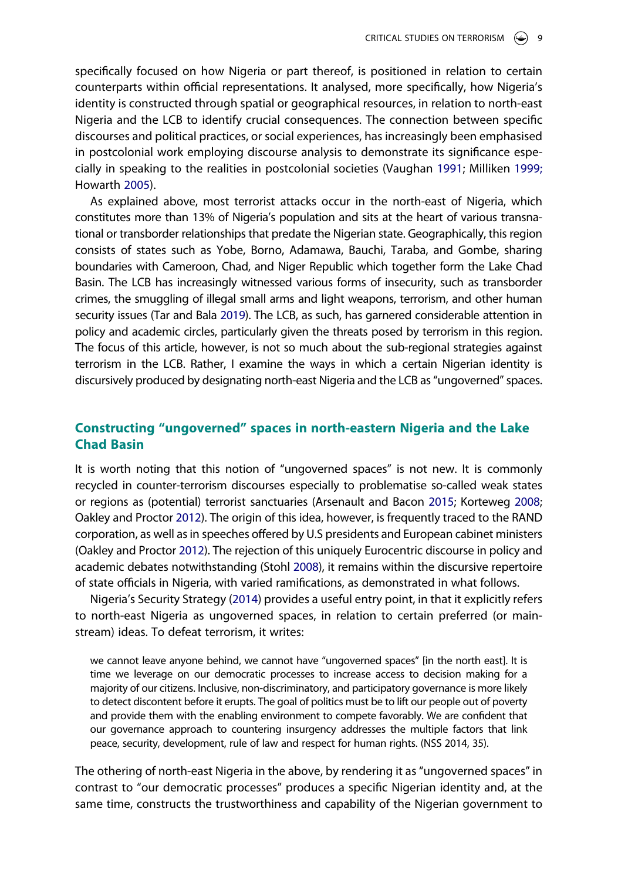specifically focused on how Nigeria or part thereof, is positioned in relation to certain counterparts within official representations. It analysed, more specifically, how Nigeria's identity is constructed through spatial or geographical resources, in relation to north-east Nigeria and the LCB to identify crucial consequences. The connection between specific discourses and political practices, or social experiences, has increasingly been emphasised in postcolonial work employing discourse analysis to demonstrate its significance especially in speaking to the realities in postcolonial societies (Vaughan [1991](#page-18-15); Milliken [1999;](#page-17-15) Howarth [2005\)](#page-16-17).

<span id="page-9-6"></span><span id="page-9-2"></span><span id="page-9-1"></span>As explained above, most terrorist attacks occur in the north-east of Nigeria, which constitutes more than 13% of Nigeria's population and sits at the heart of various transnational or transborder relationships that predate the Nigerian state. Geographically, this region consists of states such as Yobe, Borno, Adamawa, Bauchi, Taraba, and Gombe, sharing boundaries with Cameroon, Chad, and Niger Republic which together form the Lake Chad Basin. The LCB has increasingly witnessed various forms of insecurity, such as transborder crimes, the smuggling of illegal small arms and light weapons, terrorism, and other human security issues (Tar and Bala [2019\)](#page-18-16). The LCB, as such, has garnered considerable attention in policy and academic circles, particularly given the threats posed by terrorism in this region. The focus of this article, however, is not so much about the sub-regional strategies against terrorism in the LCB. Rather, I examine the ways in which a certain Nigerian identity is discursively produced by designating north-east Nigeria and the LCB as "ungoverned" spaces.

## **Constructing "ungoverned" spaces in north-eastern Nigeria and the Lake Chad Basin**

<span id="page-9-0"></span>It is worth noting that this notion of "ungoverned spaces" is not new. It is commonly recycled in counter-terrorism discourses especially to problematise so-called weak states or regions as (potential) terrorist sanctuaries (Arsenault and Bacon [2015](#page-15-7); Korteweg [2008](#page-17-16); Oakley and Proctor [2012\)](#page-17-17). The origin of this idea, however, is frequently traced to the RAND corporation, as well as in speeches offered by U.S presidents and European cabinet ministers (Oakley and Proctor [2012](#page-17-17)). The rejection of this uniquely Eurocentric discourse in policy and academic debates notwithstanding (Stohl [2008](#page-18-17)), it remains within the discursive repertoire of state officials in Nigeria, with varied ramifications, as demonstrated in what follows.

<span id="page-9-5"></span><span id="page-9-4"></span><span id="page-9-3"></span>Nigeria's Security Strategy [\(2014](#page-17-18)) provides a useful entry point, in that it explicitly refers to north-east Nigeria as ungoverned spaces, in relation to certain preferred (or mainstream) ideas. To defeat terrorism, it writes:

we cannot leave anyone behind, we cannot have "ungoverned spaces" [in the north east]. It is time we leverage on our democratic processes to increase access to decision making for a majority of our citizens. Inclusive, non-discriminatory, and participatory governance is more likely to detect discontent before it erupts. The goal of politics must be to lift our people out of poverty and provide them with the enabling environment to compete favorably. We are confident that our governance approach to countering insurgency addresses the multiple factors that link peace, security, development, rule of law and respect for human rights. (NSS 2014, 35).

The othering of north-east Nigeria in the above, by rendering it as "ungoverned spaces" in contrast to "our democratic processes" produces a specific Nigerian identity and, at the same time, constructs the trustworthiness and capability of the Nigerian government to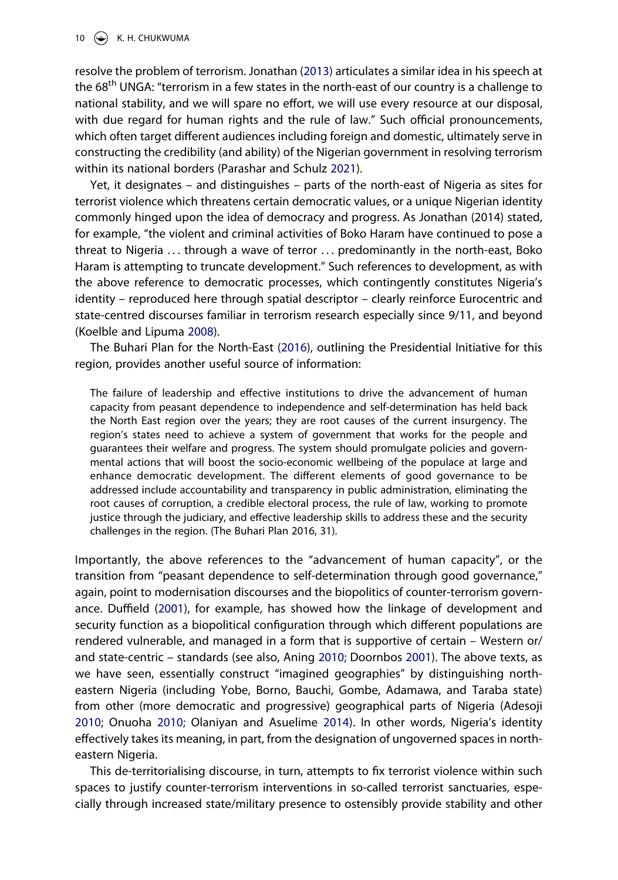resolve the problem of terrorism. Jonathan [\(2013\)](#page-16-13) articulates a similar idea in his speech at the 68<sup>th</sup> UNGA: "terrorism in a few states in the north-east of our country is a challenge to national stability, and we will spare no effort, we will use every resource at our disposal, with due regard for human rights and the rule of law." Such official pronouncements, which often target different audiences including foreign and domestic, ultimately serve in constructing the credibility (and ability) of the Nigerian government in resolving terrorism within its national borders (Parashar and Schulz [2021\)](#page-18-18).

<span id="page-10-6"></span>Yet, it designates – and distinguishes – parts of the north-east of Nigeria as sites for terrorist violence which threatens certain democratic values, or a unique Nigerian identity commonly hinged upon the idea of democracy and progress. As Jonathan (2014) stated, for example, "the violent and criminal activities of Boko Haram have continued to pose a threat to Nigeria . . . through a wave of terror . . . predominantly in the north-east, Boko Haram is attempting to truncate development." Such references to development, as with the above reference to democratic processes, which contingently constitutes Nigeria's identity – reproduced here through spatial descriptor – clearly reinforce Eurocentric and state-centred discourses familiar in terrorism research especially since 9/11, and beyond (Koelble and Lipuma [2008\)](#page-17-19).

<span id="page-10-4"></span><span id="page-10-2"></span>The Buhari Plan for the North-East ([2016](#page-16-18)), outlining the Presidential Initiative for this region, provides another useful source of information:

The failure of leadership and effective institutions to drive the advancement of human capacity from peasant dependence to independence and self-determination has held back the North East region over the years; they are root causes of the current insurgency. The region's states need to achieve a system of government that works for the people and guarantees their welfare and progress. The system should promulgate policies and governmental actions that will boost the socio-economic wellbeing of the populace at large and enhance democratic development. The different elements of good governance to be addressed include accountability and transparency in public administration, eliminating the root causes of corruption, a credible electoral process, the rule of law, working to promote justice through the judiciary, and effective leadership skills to address these and the security challenges in the region. (The Buhari Plan 2016, 31).

<span id="page-10-3"></span><span id="page-10-1"></span>Importantly, the above references to the "advancement of human capacity", or the transition from "peasant dependence to self-determination through good governance," again, point to modernisation discourses and the biopolitics of counter-terrorism governance. Duffield [\(2001\)](#page-16-19), for example, has showed how the linkage of development and security function as a biopolitical configuration through which different populations are rendered vulnerable, and managed in a form that is supportive of certain – Western or/ and state-centric – standards (see also, Aning [2010;](#page-15-8) Doornbos [2001\)](#page-16-20). The above texts, as we have seen, essentially construct "imagined geographies" by distinguishing northeastern Nigeria (including Yobe, Borno, Bauchi, Gombe, Adamawa, and Taraba state) from other (more democratic and progressive) geographical parts of Nigeria (Adesoji [2010;](#page-15-9) Onuoha [2010;](#page-18-19) Olaniyan and Asuelime [2014\)](#page-17-20). In other words, Nigeria's identity effectively takes its meaning, in part, from the designation of ungoverned spaces in northeastern Nigeria.

<span id="page-10-5"></span><span id="page-10-0"></span>This de-territorialising discourse, in turn, attempts to fix terrorist violence within such spaces to justify counter-terrorism interventions in so-called terrorist sanctuaries, especially through increased state/military presence to ostensibly provide stability and other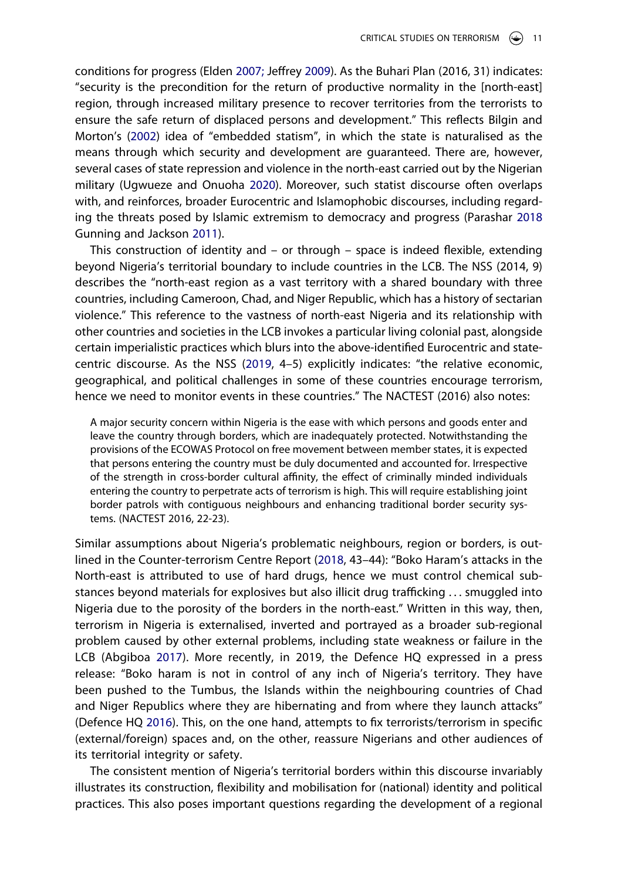<span id="page-11-3"></span><span id="page-11-1"></span>conditions for progress (Elden [2007;](#page-16-21) Jeffrey [2009\)](#page-17-21). As the Buhari Plan (2016, 31) indicates: "security is the precondition for the return of productive normality in the [north-east] region, through increased military presence to recover territories from the terrorists to ensure the safe return of displaced persons and development." This reflects Bilgin and Morton's [\(2002\)](#page-15-10) idea of "embedded statism", in which the state is naturalised as the means through which security and development are guaranteed. There are, however, several cases of state repression and violence in the north-east carried out by the Nigerian military (Ugwueze and Onuoha [2020\)](#page-18-1). Moreover, such statist discourse often overlaps with, and reinforces, broader Eurocentric and Islamophobic discourses, including regarding the threats posed by Islamic extremism to democracy and progress (Parashar [2018](#page-18-13) Gunning and Jackson [2011](#page-16-22)).

<span id="page-11-4"></span>This construction of identity and – or through – space is indeed flexible, extending beyond Nigeria's territorial boundary to include countries in the LCB. The NSS (2014, 9) describes the "north-east region as a vast territory with a shared boundary with three countries, including Cameroon, Chad, and Niger Republic, which has a history of sectarian violence." This reference to the vastness of north-east Nigeria and its relationship with other countries and societies in the LCB invokes a particular living colonial past, alongside certain imperialistic practices which blurs into the above-identified Eurocentric and statecentric discourse. As the NSS [\(2019,](#page-17-22) 4–5) explicitly indicates: "the relative economic, geographical, and political challenges in some of these countries encourage terrorism, hence we need to monitor events in these countries." The NACTEST (2016) also notes:

<span id="page-11-5"></span>A major security concern within Nigeria is the ease with which persons and goods enter and leave the country through borders, which are inadequately protected. Notwithstanding the provisions of the ECOWAS Protocol on free movement between member states, it is expected that persons entering the country must be duly documented and accounted for. Irrespective of the strength in cross-border cultural affinity, the effect of criminally minded individuals entering the country to perpetrate acts of terrorism is high. This will require establishing joint border patrols with contiguous neighbours and enhancing traditional border security systems. (NACTEST 2016, 22-23).

<span id="page-11-2"></span><span id="page-11-0"></span>Similar assumptions about Nigeria's problematic neighbours, region or borders, is outlined in the Counter-terrorism Centre Report ([2018,](#page-16-23) 43–44): "Boko Haram's attacks in the North-east is attributed to use of hard drugs, hence we must control chemical substances beyond materials for explosives but also illicit drug trafficking . . . smuggled into Nigeria due to the porosity of the borders in the north-east." Written in this way, then, terrorism in Nigeria is externalised, inverted and portrayed as a broader sub-regional problem caused by other external problems, including state weakness or failure in the LCB (Abgiboa [2017\)](#page-15-11). More recently, in 2019, the Defence HQ expressed in a press release: "Boko haram is not in control of any inch of Nigeria's territory. They have been pushed to the Tumbus, the Islands within the neighbouring countries of Chad and Niger Republics where they are hibernating and from where they launch attacks" (Defence HQ [2016\)](#page-16-16). This, on the one hand, attempts to fix terrorists/terrorism in specific (external/foreign) spaces and, on the other, reassure Nigerians and other audiences of its territorial integrity or safety.

The consistent mention of Nigeria's territorial borders within this discourse invariably illustrates its construction, flexibility and mobilisation for (national) identity and political practices. This also poses important questions regarding the development of a regional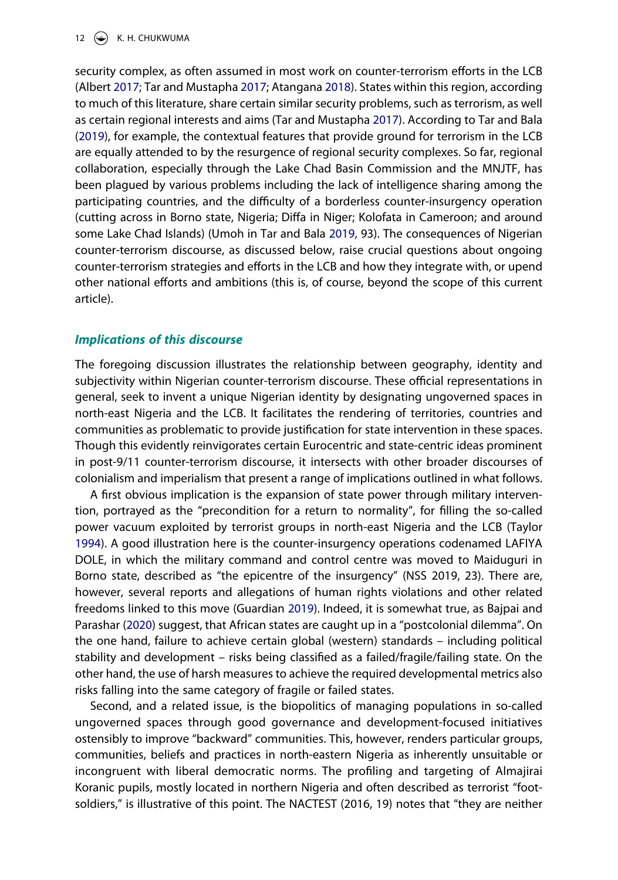#### 12  $\left(\rightarrow\right)$  K. H. CHUKWUMA

<span id="page-12-3"></span><span id="page-12-1"></span>security complex, as often assumed in most work on counter-terrorism efforts in the LCB (Albert [2017](#page-15-12); Tar and Mustapha [2017;](#page-18-20) Atangana [2018](#page-15-13)). States within this region, according to much of this literature, share certain similar security problems, such as terrorism, as well as certain regional interests and aims (Tar and Mustapha [2017](#page-18-20)). According to Tar and Bala ([2019](#page-18-16)), for example, the contextual features that provide ground for terrorism in the LCB are equally attended to by the resurgence of regional security complexes. So far, regional collaboration, especially through the Lake Chad Basin Commission and the MNJTF, has been plagued by various problems including the lack of intelligence sharing among the participating countries, and the difficulty of a borderless counter-insurgency operation (cutting across in Borno state, Nigeria; Diffa in Niger; Kolofata in Cameroon; and around some Lake Chad Islands) (Umoh in Tar and Bala [2019](#page-18-16), 93). The consequences of Nigerian counter-terrorism discourse, as discussed below, raise crucial questions about ongoing counter-terrorism strategies and efforts in the LCB and how they integrate with, or upend other national efforts and ambitions (this is, of course, beyond the scope of this current article).

#### *Implications of this discourse*

The foregoing discussion illustrates the relationship between geography, identity and subjectivity within Nigerian counter-terrorism discourse. These official representations in general, seek to invent a unique Nigerian identity by designating ungoverned spaces in north-east Nigeria and the LCB. It facilitates the rendering of territories, countries and communities as problematic to provide justification for state intervention in these spaces. Though this evidently reinvigorates certain Eurocentric and state-centric ideas prominent in post-9/11 counter-terrorism discourse, it intersects with other broader discourses of colonialism and imperialism that present a range of implications outlined in what follows.

<span id="page-12-4"></span>A first obvious implication is the expansion of state power through military intervention, portrayed as the "precondition for a return to normality", for filling the so-called power vacuum exploited by terrorist groups in north-east Nigeria and the LCB (Taylor [1994\)](#page-18-21). A good illustration here is the counter-insurgency operations codenamed LAFIYA DOLE, in which the military command and control centre was moved to Maiduguri in Borno state, described as "the epicentre of the insurgency" (NSS 2019, 23). There are, however, several reports and allegations of human rights violations and other related freedoms linked to this move (Guardian [2019\)](#page-15-14). Indeed, it is somewhat true, as Bajpai and Parashar ([2020](#page-15-15)) suggest, that African states are caught up in a "postcolonial dilemma". On the one hand, failure to achieve certain global (western) standards – including political stability and development – risks being classified as a failed/fragile/failing state. On the other hand, the use of harsh measures to achieve the required developmental metrics also risks falling into the same category of fragile or failed states.

<span id="page-12-2"></span><span id="page-12-0"></span>Second, and a related issue, is the biopolitics of managing populations in so-called ungoverned spaces through good governance and development-focused initiatives ostensibly to improve "backward" communities. This, however, renders particular groups, communities, beliefs and practices in north-eastern Nigeria as inherently unsuitable or incongruent with liberal democratic norms. The profiling and targeting of Almajirai Koranic pupils, mostly located in northern Nigeria and often described as terrorist "footsoldiers," is illustrative of this point. The NACTEST (2016, 19) notes that "they are neither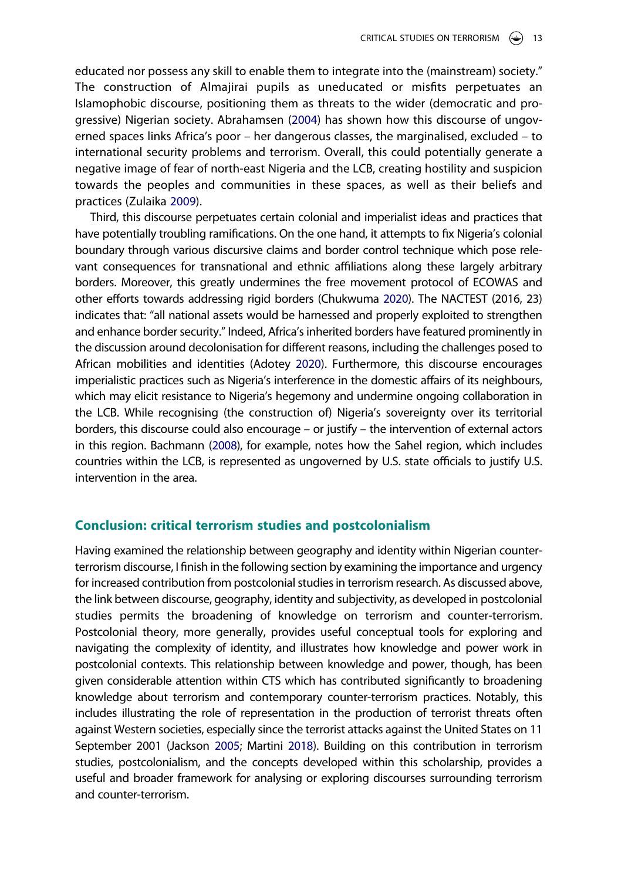<span id="page-13-0"></span>educated nor possess any skill to enable them to integrate into the (mainstream) society." The construction of Almajirai pupils as uneducated or misfits perpetuates an Islamophobic discourse, positioning them as threats to the wider (democratic and progressive) Nigerian society. Abrahamsen ([2004](#page-15-16)) has shown how this discourse of ungoverned spaces links Africa's poor – her dangerous classes, the marginalised, excluded – to international security problems and terrorism. Overall, this could potentially generate a negative image of fear of north-east Nigeria and the LCB, creating hostility and suspicion towards the peoples and communities in these spaces, as well as their beliefs and practices (Zulaika [2009](#page-18-22)).

<span id="page-13-4"></span><span id="page-13-3"></span><span id="page-13-1"></span>Third, this discourse perpetuates certain colonial and imperialist ideas and practices that have potentially troubling ramifications. On the one hand, it attempts to fix Nigeria's colonial boundary through various discursive claims and border control technique which pose relevant consequences for transnational and ethnic affiliations along these largely arbitrary borders. Moreover, this greatly undermines the free movement protocol of ECOWAS and other efforts towards addressing rigid borders (Chukwuma [2020\)](#page-16-24). The NACTEST (2016, 23) indicates that: "all national assets would be harnessed and properly exploited to strengthen and enhance border security." Indeed, Africa's inherited borders have featured prominently in the discussion around decolonisation for different reasons, including the challenges posed to African mobilities and identities (Adotey [2020](#page-15-17)). Furthermore, this discourse encourages imperialistic practices such as Nigeria's interference in the domestic affairs of its neighbours, which may elicit resistance to Nigeria's hegemony and undermine ongoing collaboration in the LCB. While recognising (the construction of) Nigeria's sovereignty over its territorial borders, this discourse could also encourage – or justify – the intervention of external actors in this region. Bachmann [\(2008](#page-15-18)), for example, notes how the Sahel region, which includes countries within the LCB, is represented as ungoverned by U.S. state officials to justify U.S. intervention in the area.

#### <span id="page-13-2"></span>**Conclusion: critical terrorism studies and postcolonialism**

Having examined the relationship between geography and identity within Nigerian counterterrorism discourse, I finish in the following section by examining the importance and urgency for increased contribution from postcolonial studies in terrorism research. As discussed above, the link between discourse, geography, identity and subjectivity, as developed in postcolonial studies permits the broadening of knowledge on terrorism and counter-terrorism. Postcolonial theory, more generally, provides useful conceptual tools for exploring and navigating the complexity of identity, and illustrates how knowledge and power work in postcolonial contexts. This relationship between knowledge and power, though, has been given considerable attention within CTS which has contributed significantly to broadening knowledge about terrorism and contemporary counter-terrorism practices. Notably, this includes illustrating the role of representation in the production of terrorist threats often against Western societies, especially since the terrorist attacks against the United States on 11 September 2001 (Jackson [2005](#page-17-2); Martini [2018\)](#page-17-14). Building on this contribution in terrorism studies, postcolonialism, and the concepts developed within this scholarship, provides a useful and broader framework for analysing or exploring discourses surrounding terrorism and counter-terrorism.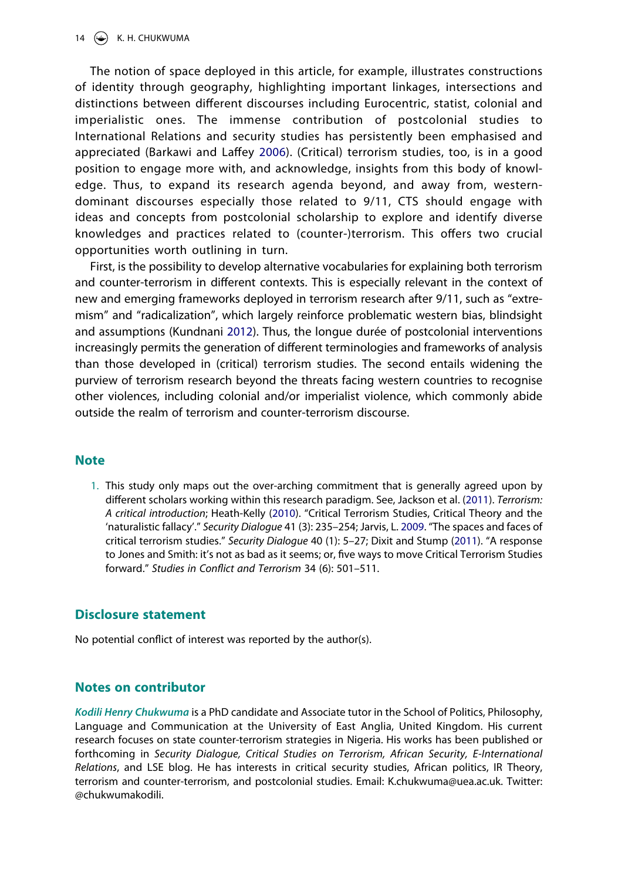<span id="page-14-1"></span>The notion of space deployed in this article, for example, illustrates constructions of identity through geography, highlighting important linkages, intersections and distinctions between different discourses including Eurocentric, statist, colonial and imperialistic ones. The immense contribution of postcolonial studies to International Relations and security studies has persistently been emphasised and appreciated (Barkawi and Laffey [2006](#page-15-19)). (Critical) terrorism studies, too, is in a good position to engage more with, and acknowledge, insights from this body of knowledge. Thus, to expand its research agenda beyond, and away from, westerndominant discourses especially those related to 9/11, CTS should engage with ideas and concepts from postcolonial scholarship to explore and identify diverse knowledges and practices related to (counter-)terrorism. This offers two crucial opportunities worth outlining in turn.

<span id="page-14-3"></span>First, is the possibility to develop alternative vocabularies for explaining both terrorism and counter-terrorism in different contexts. This is especially relevant in the context of new and emerging frameworks deployed in terrorism research after 9/11, such as "extremism" and "radicalization", which largely reinforce problematic western bias, blindsight and assumptions (Kundnani [2012\)](#page-17-23). Thus, the longue durée of postcolonial interventions increasingly permits the generation of different terminologies and frameworks of analysis than those developed in (critical) terrorism studies. The second entails widening the purview of terrorism research beyond the threats facing western countries to recognise other violences, including colonial and/or imperialist violence, which commonly abide outside the realm of terrorism and counter-terrorism discourse.

### **Note**

<span id="page-14-2"></span><span id="page-14-0"></span>1. This study only maps out the over-arching commitment that is generally agreed upon by different scholars working within this research paradigm. See, Jackson et al. ([2011](#page-17-9)). *Terrorism: A critical introduction*; Heath-Kelly [\(2010\)](#page-16-25). "Critical Terrorism Studies, Critical Theory and the 'naturalistic fallacy'." *Security Dialogue* 41 (3): 235–254; Jarvis, L. [2009.](#page-17-8) "The spaces and faces of critical terrorism studies." *Security Dialogue* 40 (1): 5–27; Dixit and Stump ([2011](#page-16-3)). "A response to Jones and Smith: it's not as bad as it seems; or, five ways to move Critical Terrorism Studies forward." *Studies in Conflict and Terrorism* 34 (6): 501–511.

### **Disclosure statement**

No potential conflict of interest was reported by the author(s).

### **Notes on contributor**

*Kodili Henry Chukwuma* is a PhD candidate and Associate tutor in the School of Politics, Philosophy, Language and Communication at the University of East Anglia, United Kingdom. His current research focuses on state counter-terrorism strategies in Nigeria. His works has been published or forthcoming in *Security Dialogue, Critical Studies on Terrorism, African Security, E-International Relations*, and LSE blog. He has interests in critical security studies, African politics, IR Theory, terrorism and counter-terrorism, and postcolonial studies. Email: K.chukwuma@uea.ac.uk. Twitter: @chukwumakodili.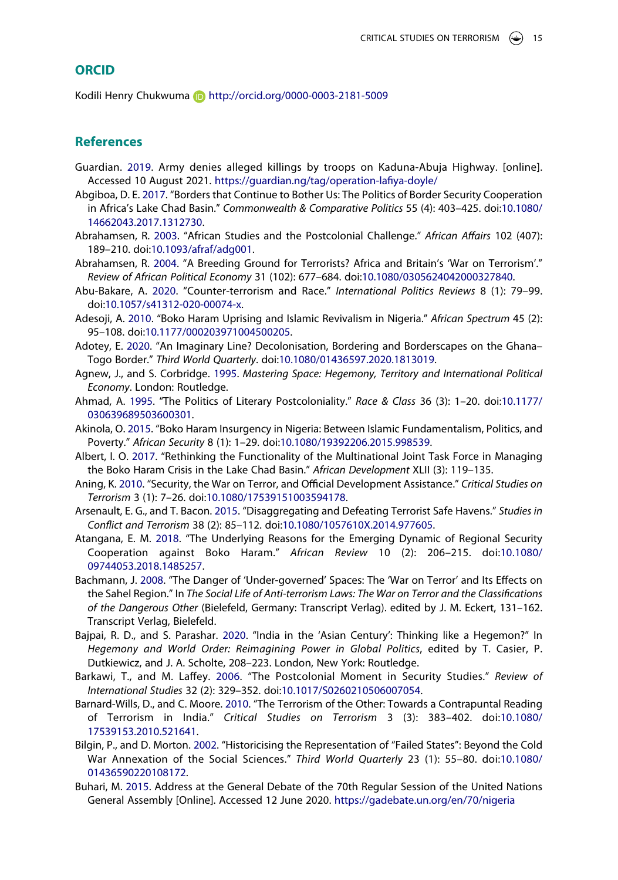#### **ORCID**

Kodili Henry Chukwuma **http://orcid.org/0000-0003-2181-5009** 

### **References**

- <span id="page-15-14"></span>Guardian. [2019.](#page-12-0) Army denies alleged killings by troops on Kaduna-Abuja Highway. [online]. Accessed 10 August 2021. <https://guardian.ng/tag/operation-lafiya-doyle/>
- <span id="page-15-11"></span>Abgiboa, D. E. [2017](#page-11-0). "Borders that Continue to Bother Us: The Politics of Border Security Cooperation in Africa's Lake Chad Basin." *Commonwealth & Comparative Politics* 55 (4): 403–425. doi:[10.1080/](https://doi.org/10.1080/14662043.2017.1312730) [14662043.2017.1312730](https://doi.org/10.1080/14662043.2017.1312730).
- <span id="page-15-1"></span>Abrahamsen, R. [2003](#page-2-0). "African Studies and the Postcolonial Challenge." *African Affairs* 102 (407): 189–210. doi:[10.1093/afraf/adg001](https://doi.org/10.1093/afraf/adg001).
- <span id="page-15-16"></span>Abrahamsen, R. [2004](#page-13-0). "A Breeding Ground for Terrorists? Africa and Britain's 'War on Terrorism'." *Review of African Political Economy* 31 (102): 677–684. doi:[10.1080/0305624042000327840](https://doi.org/10.1080/0305624042000327840).
- <span id="page-15-3"></span>Abu-Bakare, A. [2020](#page-6-0). "Counter-terrorism and Race." *International Politics Reviews* 8 (1): 79–99. doi:[10.1057/s41312-020-00074-x.](https://doi.org/10.1057/s41312-020-00074-x)
- <span id="page-15-9"></span>Adesoji, A. [2010.](#page-10-0) "Boko Haram Uprising and Islamic Revivalism in Nigeria." *African Spectrum* 45 (2): 95–108. doi:[10.1177/000203971004500205.](https://doi.org/10.1177/000203971004500205)
- <span id="page-15-17"></span>Adotey, E. [2020.](#page-13-1) "An Imaginary Line? Decolonisation, Bordering and Borderscapes on the Ghana– Togo Border." *Third World Quarterly*. doi:[10.1080/01436597.2020.1813019.](https://doi.org/10.1080/01436597.2020.1813019)
- <span id="page-15-5"></span>Agnew, J., and S. Corbridge. [1995](#page-6-1). *Mastering Space: Hegemony, Territory and International Political Economy*. London: Routledge.
- <span id="page-15-4"></span>Ahmad, A. [1995.](#page-6-2) "The Politics of Literary Postcoloniality." *Race & Class* 36 (3): 1–20. doi:[10.1177/](https://doi.org/10.1177/030639689503600301) [030639689503600301](https://doi.org/10.1177/030639689503600301).
- <span id="page-15-2"></span>Akinola, O. [2015](#page-3-0). "Boko Haram Insurgency in Nigeria: Between Islamic Fundamentalism, Politics, and Poverty." *African Security* 8 (1): 1–29. doi:[10.1080/19392206.2015.998539](https://doi.org/10.1080/19392206.2015.998539).
- <span id="page-15-12"></span>Albert, I. O. [2017.](#page-12-1) "Rethinking the Functionality of the Multinational Joint Task Force in Managing the Boko Haram Crisis in the Lake Chad Basin." *African Development* XLII (3): 119–135.
- <span id="page-15-8"></span>Aning, K. [2010.](#page-10-1) "Security, the War on Terror, and Official Development Assistance." *Critical Studies on Terrorism* 3 (1): 7–26. doi:[10.1080/17539151003594178.](https://doi.org/10.1080/17539151003594178)
- <span id="page-15-7"></span>Arsenault, E. G., and T. Bacon. [2015.](#page-9-0) "Disaggregating and Defeating Terrorist Safe Havens." *Studies in Conflict and Terrorism* 38 (2): 85–112. doi:[10.1080/1057610X.2014.977605.](https://doi.org/10.1080/1057610X.2014.977605)
- <span id="page-15-13"></span>Atangana, E. M. [2018.](#page-12-1) "The Underlying Reasons for the Emerging Dynamic of Regional Security Cooperation against Boko Haram." *African Review* 10 (2): 206–215. doi:[10.1080/](https://doi.org/10.1080/09744053.2018.1485257) [09744053.2018.1485257](https://doi.org/10.1080/09744053.2018.1485257).
- <span id="page-15-18"></span>Bachmann, J. [2008](#page-13-2). "The Danger of 'Under-governed' Spaces: The 'War on Terror' and Its Effects on the Sahel Region." In *The Social Life of Anti-terrorism Laws: The War on Terror and the Classifications of the Dangerous Other* (Bielefeld, Germany: Transcript Verlag). edited by J. M. Eckert, 131–162. Transcript Verlag, Bielefeld.
- <span id="page-15-15"></span>Bajpai, R. D., and S. Parashar. [2020](#page-12-2). "India in the 'Asian Century': Thinking like a Hegemon?" In *Hegemony and World Order: Reimagining Power in Global Politics*, edited by T. Casier, P. Dutkiewicz, and J. A. Scholte, 208–223. London, New York: Routledge.
- <span id="page-15-19"></span>Barkawi, T., and M. Laffey. [2006.](#page-14-1) "The Postcolonial Moment in Security Studies." *Review of International Studies* 32 (2): 329–352. doi:[10.1017/S0260210506007054.](https://doi.org/10.1017/S0260210506007054)
- <span id="page-15-0"></span>Barnard-Wills, D., and C. Moore. [2010](#page-2-1). "The Terrorism of the Other: Towards a Contrapuntal Reading of Terrorism in India." *Critical Studies on Terrorism* 3 (3): 383–402. doi:[10.1080/](https://doi.org/10.1080/17539153.2010.521641) [17539153.2010.521641.](https://doi.org/10.1080/17539153.2010.521641)
- <span id="page-15-10"></span>Bilgin, P., and D. Morton. [2002](#page-11-1). "Historicising the Representation of "Failed States": Beyond the Cold War Annexation of the Social Sciences." *Third World Quarterly* 23 (1): 55–80. doi:[10.1080/](https://doi.org/10.1080/01436590220108172) [01436590220108172](https://doi.org/10.1080/01436590220108172).
- <span id="page-15-6"></span>Buhari, M. [2015.](#page-8-1) Address at the General Debate of the 70th Regular Session of the United Nations General Assembly [Online]. Accessed 12 June 2020. <https://gadebate.un.org/en/70/nigeria>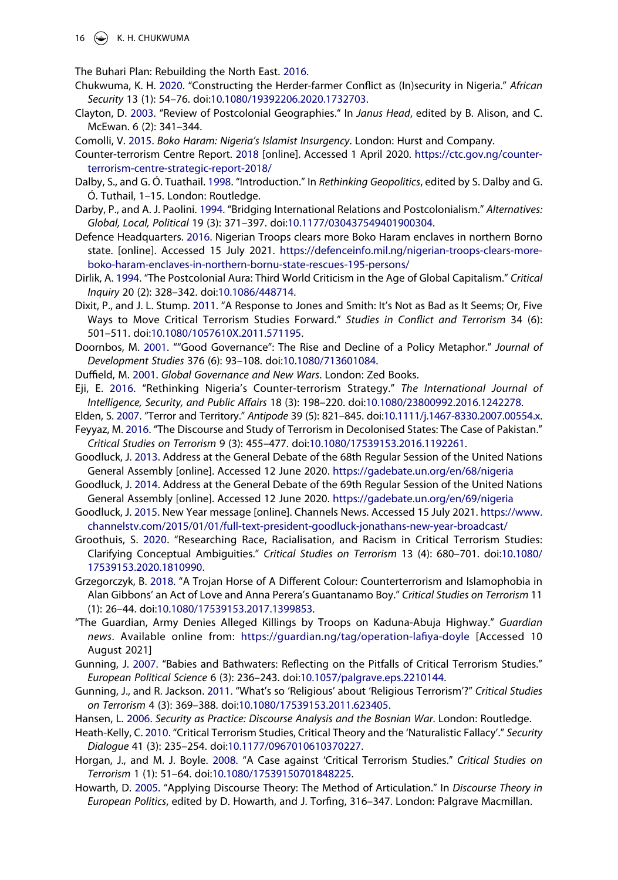16  $\left(\rightarrow\right)$  K. H. CHUKWUMA

<span id="page-16-18"></span>The Buhari Plan: Rebuilding the North East. [2016.](#page-10-2)

- <span id="page-16-24"></span>Chukwuma, K. H. [2020.](#page-13-3) "Constructing the Herder-farmer Conflict as (In)security in Nigeria." *African Security* 13 (1): 54–76. doi:[10.1080/19392206.2020.1732703](https://doi.org/10.1080/19392206.2020.1732703).
- <span id="page-16-11"></span>Clayton, D. [2003.](#page-7-0) "Review of Postcolonial Geographies." In *Janus Head*, edited by B. Alison, and C. McEwan. 6 (2): 341–344.
- <span id="page-16-2"></span>Comolli, V. [2015](#page-3-1). *Boko Haram: Nigeria's Islamist Insurgency*. London: Hurst and Company.
- <span id="page-16-23"></span>Counter-terrorism Centre Report. [2018](#page-11-2) [online]. Accessed 1 April 2020. [https://ctc.gov.ng/counter](https://ctc.gov.ng/counter-terrorism-centre-strategic-report-2018/)[terrorism-centre-strategic-report-2018/](https://ctc.gov.ng/counter-terrorism-centre-strategic-report-2018/)
- <span id="page-16-10"></span>Dalby, S., and G. Ó. Tuathail. [1998](#page-6-1). "Introduction." In *Rethinking Geopolitics*, edited by S. Dalby and G. Ó. Tuthail, 1–15. London: Routledge.
- <span id="page-16-7"></span>Darby, P., and A. J. Paolini. [1994.](#page-5-0) "Bridging International Relations and Postcolonialism." *Alternatives: Global, Local, Political* 19 (3): 371–397. doi:[10.1177/030437549401900304](https://doi.org/10.1177/030437549401900304).
- <span id="page-16-16"></span>Defence Headquarters. [2016.](#page-8-2) Nigerian Troops clears more Boko Haram enclaves in northern Borno state. [online]. Accessed 15 July 2021. [https://defenceinfo.mil.ng/nigerian-troops-clears-more](https://defenceinfo.mil.ng/nigerian-troops-clears-more-boko-haram-enclaves-in-northern-bornu-state-rescues-195-persons/)[boko-haram-enclaves-in-northern-bornu-state-rescues-195-persons/](https://defenceinfo.mil.ng/nigerian-troops-clears-more-boko-haram-enclaves-in-northern-bornu-state-rescues-195-persons/)
- <span id="page-16-9"></span>Dirlik, A. [1994](#page-6-2). "The Postcolonial Aura: Third World Criticism in the Age of Global Capitalism." *Critical Inquiry* 20 (2): 328–342. doi:[10.1086/448714.](https://doi.org/10.1086/448714)
- <span id="page-16-3"></span>Dixit, P., and J. L. Stump. [2011](#page-5-1). "A Response to Jones and Smith: It's Not as Bad as It Seems; Or, Five Ways to Move Critical Terrorism Studies Forward." *Studies in Conflict and Terrorism* 34 (6): 501–511. doi:[10.1080/1057610X.2011.571195.](https://doi.org/10.1080/1057610X.2011.571195)
- <span id="page-16-20"></span>Doornbos, M. [2001](#page-10-1). ""Good Governance": The Rise and Decline of a Policy Metaphor." *Journal of Development Studies* 376 (6): 93–108. doi:[10.1080/713601084](https://doi.org/10.1080/713601084).
- <span id="page-16-19"></span>Duffield, M. [2001](#page-10-3). *Global Governance and New Wars*. London: Zed Books.
- <span id="page-16-0"></span>Eji, E. [2016.](#page-2-2) "Rethinking Nigeria's Counter-terrorism Strategy." *The International Journal of Intelligence, Security, and Public Affairs* 18 (3): 198–220. doi:[10.1080/23800992.2016.1242278](https://doi.org/10.1080/23800992.2016.1242278).
- <span id="page-16-21"></span>Elden, S. [2007](#page-11-3). "Terror and Territory." *Antipode* 39 (5): 821–845. doi:[10.1111/j.1467-8330.2007.00554.x](https://doi.org/10.1111/j.1467-8330.2007.00554.x).
- <span id="page-16-5"></span>Feyyaz, M. [2016.](#page-5-2) "The Discourse and Study of Terrorism in Decolonised States: The Case of Pakistan." *Critical Studies on Terrorism* 9 (3): 455–477. doi:[10.1080/17539153.2016.1192261](https://doi.org/10.1080/17539153.2016.1192261).
- <span id="page-16-13"></span>Goodluck, J. [2013.](#page-8-3) Address at the General Debate of the 68th Regular Session of the United Nations General Assembly [online]. Accessed 12 June 2020. <https://gadebate.un.org/en/68/nigeria>
- <span id="page-16-14"></span>Goodluck, J. [2014.](#page-8-4) Address at the General Debate of the 69th Regular Session of the United Nations General Assembly [online]. Accessed 12 June 2020. <https://gadebate.un.org/en/69/nigeria>
- <span id="page-16-15"></span>Goodluck, J. [2015.](#page-8-5) New Year message [online]. Channels News. Accessed 15 July 2021. [https://www.](https://www.channelstv.com/2015/01/01/full-text-president-goodluck-jonathans-new-year-broadcast/) [channelstv.com/2015/01/01/full-text-president-goodluck-jonathans-new-year-broadcast/](https://www.channelstv.com/2015/01/01/full-text-president-goodluck-jonathans-new-year-broadcast/)
- <span id="page-16-8"></span>Groothuis, S. [2020](#page-6-0). "Researching Race, Racialisation, and Racism in Critical Terrorism Studies: Clarifying Conceptual Ambiguities." *Critical Studies on Terrorism* 13 (4): 680–701. doi:[10.1080/](https://doi.org/10.1080/17539153.2020.1810990) [17539153.2020.1810990](https://doi.org/10.1080/17539153.2020.1810990).
- <span id="page-16-6"></span>Grzegorczyk, B. [2018](#page-5-3). "A Trojan Horse of A Different Colour: Counterterrorism and Islamophobia in Alan Gibbons' an Act of Love and Anna Perera's Guantanamo Boy." *Critical Studies on Terrorism* 11 (1): 26–44. doi:[10.1080/17539153.2017.1399853.](https://doi.org/10.1080/17539153.2017.1399853)
- "The Guardian, Army Denies Alleged Killings by Troops on Kaduna-Abuja Highway." *Guardian news*. Available online from: <https://guardian.ng/tag/operation-lafiya-doyle> [Accessed 10 August 2021]
- <span id="page-16-4"></span>Gunning, J. [2007.](#page-5-4) "Babies and Bathwaters: Reflecting on the Pitfalls of Critical Terrorism Studies." *European Political Science* 6 (3): 236–243. doi:[10.1057/palgrave.eps.2210144.](https://doi.org/10.1057/palgrave.eps.2210144)
- <span id="page-16-22"></span>Gunning, J., and R. Jackson. [2011.](#page-11-4) "What's so 'Religious' about 'Religious Terrorism'?" *Critical Studies on Terrorism* 4 (3): 369–388. doi:[10.1080/17539153.2011.623405](https://doi.org/10.1080/17539153.2011.623405).
- <span id="page-16-12"></span>Hansen, L. [2006.](#page-7-1) *Security as Practice: Discourse Analysis and the Bosnian War*. London: Routledge.
- <span id="page-16-25"></span>Heath-Kelly, C. [2010](#page-14-2). "Critical Terrorism Studies, Critical Theory and the 'Naturalistic Fallacy'." *Security Dialogue* 41 (3): 235–254. doi:[10.1177/0967010610370227](https://doi.org/10.1177/0967010610370227).
- <span id="page-16-1"></span>Horgan, J., and M. J. Boyle. [2008](#page-2-3). "A Case against 'Critical Terrorism Studies." *Critical Studies on Terrorism* 1 (1): 51–64. doi:[10.1080/17539150701848225.](https://doi.org/10.1080/17539150701848225)
- <span id="page-16-17"></span>Howarth, D. [2005](#page-9-1). "Applying Discourse Theory: The Method of Articulation." In *Discourse Theory in European Politics*, edited by D. Howarth, and J. Torfing, 316–347. London: Palgrave Macmillan.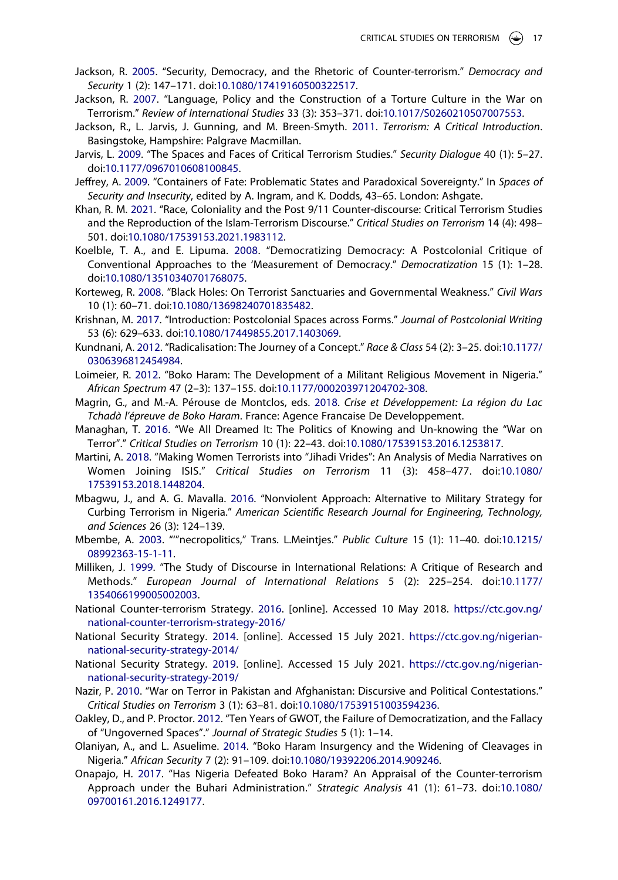- <span id="page-17-2"></span>Jackson, R. [2005.](#page-2-4) "Security, Democracy, and the Rhetoric of Counter-terrorism." *Democracy and Security* 1 (2): 147–171. doi:[10.1080/17419160500322517.](https://doi.org/10.1080/17419160500322517)
- <span id="page-17-3"></span>Jackson, R. [2007](#page-2-5). "Language, Policy and the Construction of a Torture Culture in the War on Terrorism." *Review of International Studies* 33 (3): 353–371. doi:[10.1017/S0260210507007553.](https://doi.org/10.1017/S0260210507007553)
- <span id="page-17-9"></span>Jackson, R., L. Jarvis, J. Gunning, and M. Breen-Smyth. [2011.](#page-5-1) *Terrorism: A Critical Introduction*. Basingstoke, Hampshire: Palgrave Macmillan.
- <span id="page-17-8"></span>Jarvis, L. [2009.](#page-4-0) "The Spaces and Faces of Critical Terrorism Studies." *Security Dialogue* 40 (1): 5–27. doi:[10.1177/0967010608100845](https://doi.org/10.1177/0967010608100845).
- <span id="page-17-21"></span>Jeffrey, A. [2009.](#page-11-3) "Containers of Fate: Problematic States and Paradoxical Sovereignty." In *Spaces of Security and Insecurity*, edited by A. Ingram, and K. Dodds, 43–65. London: Ashgate.
- <span id="page-17-4"></span>Khan, R. M. [2021.](#page-3-2) "Race, Coloniality and the Post 9/11 Counter-discourse: Critical Terrorism Studies and the Reproduction of the Islam-Terrorism Discourse." *Critical Studies on Terrorism* 14 (4): 498– 501. doi:[10.1080/17539153.2021.1983112](https://doi.org/10.1080/17539153.2021.1983112).
- <span id="page-17-19"></span>Koelble, T. A., and E. Lipuma. [2008](#page-10-4). "Democratizing Democracy: A Postcolonial Critique of Conventional Approaches to the 'Measurement of Democracy." *Democratization* 15 (1): 1–28. doi:[10.1080/13510340701768075](https://doi.org/10.1080/13510340701768075).
- <span id="page-17-16"></span>Korteweg, R. [2008.](#page-9-0) "Black Holes: On Terrorist Sanctuaries and Governmental Weakness." *Civil Wars*  10 (1): 60–71. doi:[10.1080/13698240701835482](https://doi.org/10.1080/13698240701835482).
- <span id="page-17-13"></span>Krishnan, M. [2017](#page-7-2). "Introduction: Postcolonial Spaces across Forms." *Journal of Postcolonial Writing*  53 (6): 629–633. doi:[10.1080/17449855.2017.1403069.](https://doi.org/10.1080/17449855.2017.1403069)
- <span id="page-17-23"></span>Kundnani, A. [2012.](#page-14-3) "Radicalisation: The Journey of a Concept." *Race & Class* 54 (2): 3–25. doi:[10.1177/](https://doi.org/10.1177/0306396812454984) [0306396812454984.](https://doi.org/10.1177/0306396812454984)
- <span id="page-17-5"></span>Loimeier, R. [2012](#page-3-1). "Boko Haram: The Development of a Militant Religious Movement in Nigeria." *African Spectrum* 47 (2–3): 137–155. doi:[10.1177/000203971204702-308](https://doi.org/10.1177/000203971204702-308).
- <span id="page-17-7"></span>Magrin, G., and M.-A. Pérouse de Montclos, eds. [2018.](#page-3-3) *Crise et Développement: La région du Lac Tchadà l'épreuve de Boko Haram*. France: Agence Francaise De Developpement.
- <span id="page-17-11"></span>Managhan, T. [2016](#page-5-3). "We All Dreamed It: The Politics of Knowing and Un-knowing the "War on Terror"." *Critical Studies on Terrorism* 10 (1): 22–43. doi:[10.1080/17539153.2016.1253817](https://doi.org/10.1080/17539153.2016.1253817).
- <span id="page-17-14"></span>Martini, A. [2018](#page-7-3). "Making Women Terrorists into "Jihadi Vrides": An Analysis of Media Narratives on Women Joining ISIS." *Critical Studies on Terrorism* 11 (3): 458–477. doi:[10.1080/](https://doi.org/10.1080/17539153.2018.1448204) [17539153.2018.1448204](https://doi.org/10.1080/17539153.2018.1448204).
- <span id="page-17-1"></span>Mbagwu, J., and A. G. Mavalla. [2016.](#page-2-2) "Nonviolent Approach: Alternative to Military Strategy for Curbing Terrorism in Nigeria." *American Scientific Research Journal for Engineering, Technology, and Sciences* 26 (3): 124–139.
- <span id="page-17-12"></span>Mbembe, A. [2003](#page-6-3). "'"necropolitics," Trans. L.Meintjes." *Public Culture* 15 (1): 11–40. doi:[10.1215/](https://doi.org/10.1215/08992363-15-1-11) [08992363-15-1-11](https://doi.org/10.1215/08992363-15-1-11).
- <span id="page-17-15"></span>Milliken, J. [1999](#page-9-2). "The Study of Discourse in International Relations: A Critique of Research and Methods." *European Journal of International Relations* 5 (2): 225–254. doi:[10.1177/](https://doi.org/10.1177/1354066199005002003) [1354066199005002003.](https://doi.org/10.1177/1354066199005002003)
- <span id="page-17-6"></span>National Counter-terrorism Strategy. [2016.](#page-3-4) [online]. Accessed 10 May 2018. [https://ctc.gov.ng/](https://ctc.gov.ng/national-counter-terrorism-strategy-2016/) [national-counter-terrorism-strategy-2016/](https://ctc.gov.ng/national-counter-terrorism-strategy-2016/)
- <span id="page-17-18"></span>National Security Strategy. [2014.](#page-9-3) [online]. Accessed 15 July 2021. [https://ctc.gov.ng/nigerian](https://ctc.gov.ng/nigerian-national-security-strategy-2014/)[national-security-strategy-2014/](https://ctc.gov.ng/nigerian-national-security-strategy-2014/)
- <span id="page-17-22"></span>National Security Strategy. [2019.](#page-11-5) [online]. Accessed 15 July 2021. [https://ctc.gov.ng/nigerian](https://ctc.gov.ng/nigerian-national-security-strategy-2019/)[national-security-strategy-2019/](https://ctc.gov.ng/nigerian-national-security-strategy-2019/)
- <span id="page-17-10"></span>Nazir, P. [2010.](#page-5-5) "War on Terror in Pakistan and Afghanistan: Discursive and Political Contestations." *Critical Studies on Terrorism* 3 (1): 63–81. doi:[10.1080/17539151003594236.](https://doi.org/10.1080/17539151003594236)
- <span id="page-17-17"></span>Oakley, D., and P. Proctor. [2012](#page-9-4). "Ten Years of GWOT, the Failure of Democratization, and the Fallacy of "Ungoverned Spaces"." *Journal of Strategic Studies* 5 (1): 1–14.
- <span id="page-17-20"></span>Olaniyan, A., and L. Asuelime. [2014.](#page-10-5) "Boko Haram Insurgency and the Widening of Cleavages in Nigeria." *African Security* 7 (2): 91–109. doi:[10.1080/19392206.2014.909246.](https://doi.org/10.1080/19392206.2014.909246)
- <span id="page-17-0"></span>Onapajo, H. [2017.](#page-2-6) "Has Nigeria Defeated Boko Haram? An Appraisal of the Counter-terrorism Approach under the Buhari Administration." *Strategic Analysis* 41 (1): 61–73. doi:[10.1080/](https://doi.org/10.1080/09700161.2016.1249177) [09700161.2016.1249177](https://doi.org/10.1080/09700161.2016.1249177).